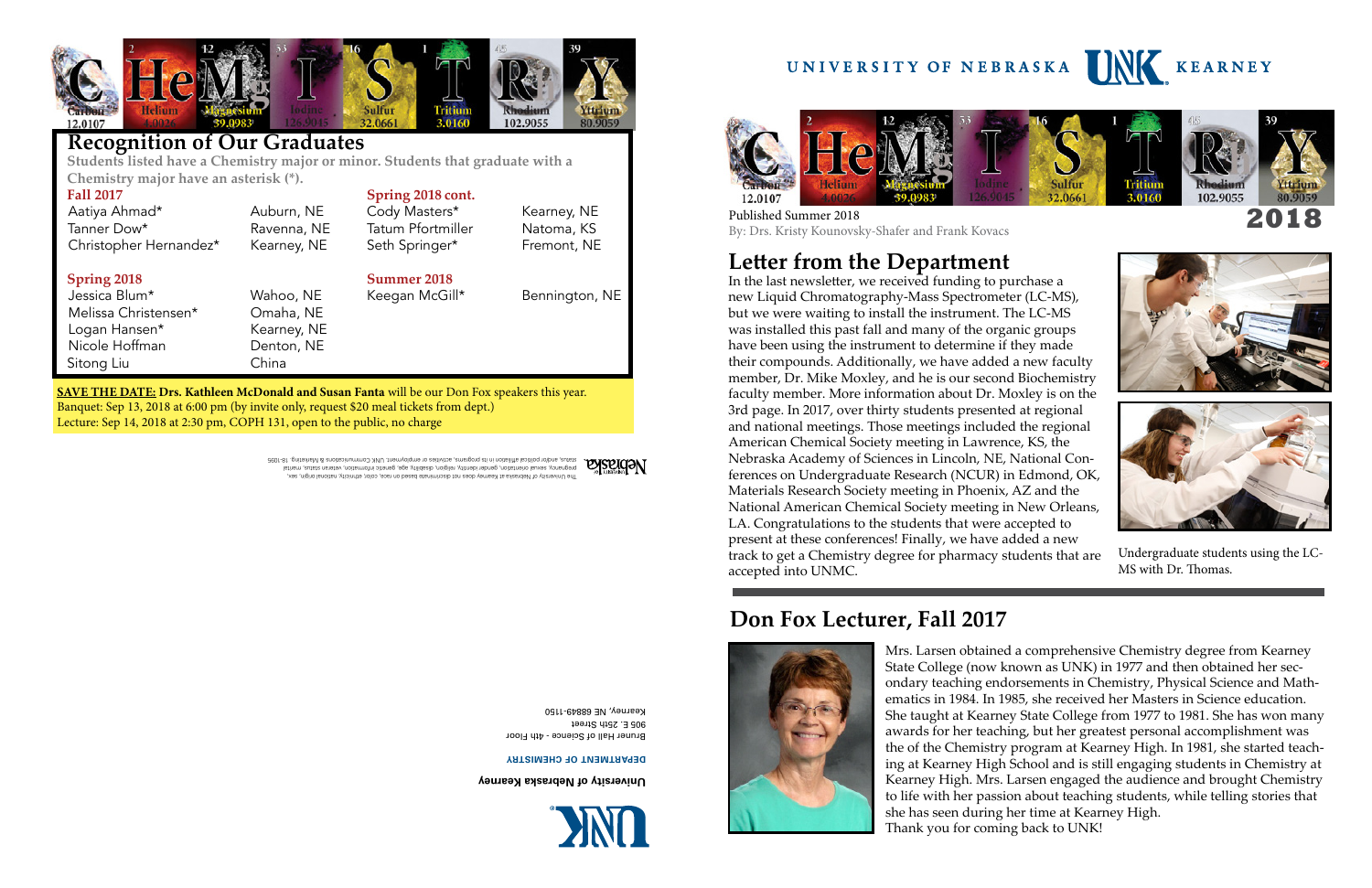

#### **Recognition of Our Graduates**

 **Students listed have a Chemistry major or minor. Students that graduate with a Chemistry major have an asterisk (\*).**

| <b>Fall 2017</b>                                                                                     |             | Spring 2018 cont.        |                |
|------------------------------------------------------------------------------------------------------|-------------|--------------------------|----------------|
| Aatiya Ahmad*                                                                                        | Auburn, NE  | Cody Masters*            | Kearney, NE    |
| Tanner Dow*                                                                                          | Ravenna, NE | <b>Tatum Pfortmiller</b> | Natoma, KS     |
| Christopher Hernandez*                                                                               | Kearney, NE | Seth Springer*           | Fremont, NE    |
| Spring 2018                                                                                          |             | <b>Summer 2018</b>       |                |
| Jessica Blum*                                                                                        | Wahoo, NE   | Keegan McGill*           | Bennington, NE |
| Melissa Christensen*                                                                                 | Omaha, NE   |                          |                |
| Logan Hansen*                                                                                        | Kearney, NE |                          |                |
| Nicole Hoffman                                                                                       | Denton, NE  |                          |                |
| Sitong Liu                                                                                           | China       |                          |                |
| <b>SAVE THE DATE: Drs. Kathleen McDonald and Susan Fanta</b> will be our Don Fox speakers this year. |             |                          |                |
|                                                                                                      |             |                          |                |

**POSPIGON** lstinem, sutste nenetov gonalistine, kitinesi, obe seistelilty, age, generen information, veteran seinest vone<br>2001-81 . priteshaM & enoitsoinummoO XMU .tnemvolqme no seitivitos ,ematopaq eti ni noitsiliita laoitiloq no\b The University of Nebraska at Kearney does not discriminate based on race, color, ethnicity, national origin, sex,

Banquet: Sep 13, 2018 at 6:00 pm (by invite only, request \$20 meal tickets from dept.) Lecture: Sep 14, 2018 at 2:30 pm, COPH 131, open to the public, no charge

**University of Nebraska Kearney**



**DEPARTMENT OF CHEMISTRY**

Bruner Hall of Science - 4th Floor 905 E. 25th Street Kearney, NE 68849-1150



### **Letter from the Department**

In the last newsletter, we received funding to purchase a new Liquid Chromatography-Mass Spectrometer (LC-MS), but we were waiting to install the instrument. The LC-MS was installed this past fall and many of the organic groups have been using the instrument to determine if they made their compounds. Additionally, we have added a new faculty member, Dr. Mike Moxley, and he is our second Biochemistry faculty member. More information about Dr. Moxley is on the 3rd page. In 2017, over thirty students presented at regional and national meetings. Those meetings included the regional American Chemical Society meeting in Lawrence, KS, the Nebraska Academy of Sciences in Lincoln, NE, National Conferences on Undergraduate Research (NCUR) in Edmond, OK, Materials Research Society meeting in Phoenix, AZ and the National American Chemical Society meeting in New Orleans, LA. Congratulations to the students that were accepted to present at these conferences! Finally, we have added a new track to get a Chemistry degree for pharmacy students that are accepted into UNMC.

> Mrs. Larsen obtained a comprehensive Chemistry degree from Kearney State College (now known as UNK) in 1977 and then obtained her secondary teaching endorsements in Chemistry, Physical Science and Mathematics in 1984. In 1985, she received her Masters in Science education. She taught at Kearney State College from 1977 to 1981. She has won many awards for her teaching, but her greatest personal accomplishment was the of the Chemistry program at Kearney High. In 1981, she started teaching at Kearney High School and is still engaging students in Chemistry at Kearney High. Mrs. Larsen engaged the audience and brought Chemistry to life with her passion about teaching students, while telling stories that she has seen during her time at Kearney High. Thank you for coming back to UNK!

Published Summer 2018 By: Drs. Kristy Kounovsky-Shafer and Frank Kovacs

#### **Don Fox Lecturer, Fall 2017**





Undergraduate students using the LC-MS with Dr. Thomas.